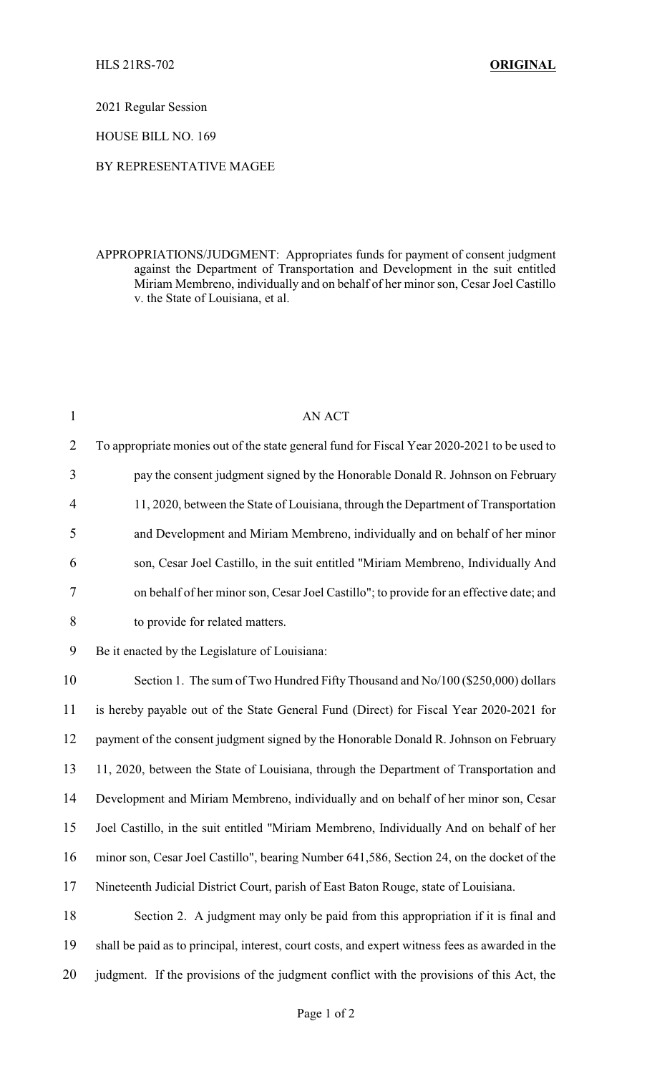2021 Regular Session

HOUSE BILL NO. 169

## BY REPRESENTATIVE MAGEE

APPROPRIATIONS/JUDGMENT: Appropriates funds for payment of consent judgment against the Department of Transportation and Development in the suit entitled Miriam Membreno, individually and on behalf of her minor son, Cesar Joel Castillo v. the State of Louisiana, et al.

| $\mathbf{1}$   | AN ACT                                                                                          |
|----------------|-------------------------------------------------------------------------------------------------|
| $\overline{2}$ | To appropriate monies out of the state general fund for Fiscal Year 2020-2021 to be used to     |
| 3              | pay the consent judgment signed by the Honorable Donald R. Johnson on February                  |
| $\overline{4}$ | 11, 2020, between the State of Louisiana, through the Department of Transportation              |
| 5              | and Development and Miriam Membreno, individually and on behalf of her minor                    |
| 6              | son, Cesar Joel Castillo, in the suit entitled "Miriam Membreno, Individually And               |
| 7              | on behalf of her minor son, Cesar Joel Castillo"; to provide for an effective date; and         |
| $8\,$          | to provide for related matters.                                                                 |
| 9              | Be it enacted by the Legislature of Louisiana:                                                  |
| 10             | Section 1. The sum of Two Hundred Fifty Thousand and No/100 (\$250,000) dollars                 |
| 11             | is hereby payable out of the State General Fund (Direct) for Fiscal Year 2020-2021 for          |
| 12             | payment of the consent judgment signed by the Honorable Donald R. Johnson on February           |
| 13             | 11, 2020, between the State of Louisiana, through the Department of Transportation and          |
| 14             | Development and Miriam Membreno, individually and on behalf of her minor son, Cesar             |
| 15             | Joel Castillo, in the suit entitled "Miriam Membreno, Individually And on behalf of her         |
| 16             | minor son, Cesar Joel Castillo", bearing Number 641,586, Section 24, on the docket of the       |
| 17             | Nineteenth Judicial District Court, parish of East Baton Rouge, state of Louisiana.             |
| 18             | Section 2. A judgment may only be paid from this appropriation if it is final and               |
| 19             | shall be paid as to principal, interest, court costs, and expert witness fees as awarded in the |
| 20             | judgment. If the provisions of the judgment conflict with the provisions of this Act, the       |